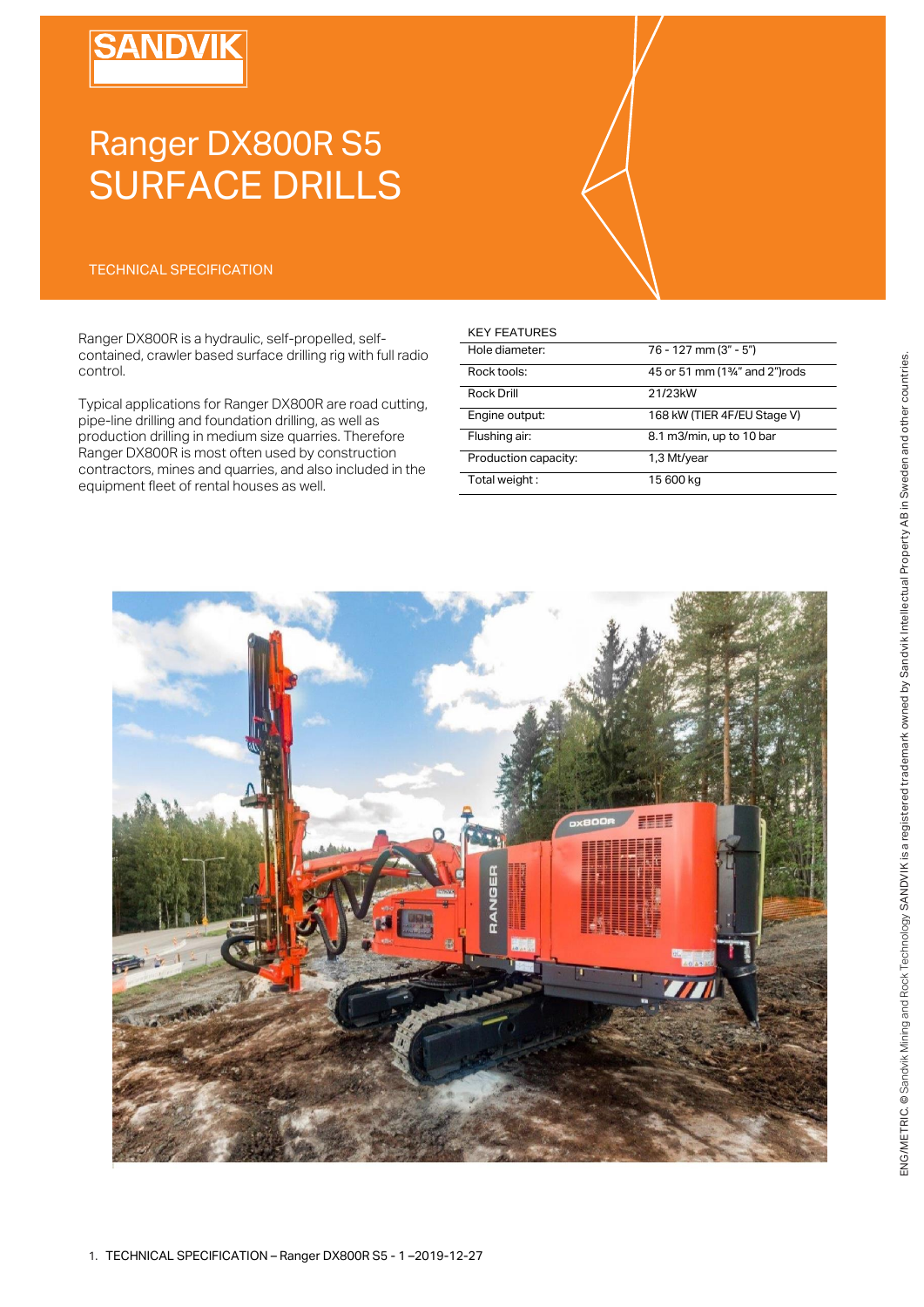# **SANDVIK**

# Ranger DX800R S5 SURFACE DRILLS

### TECHNICAL SPECIFICATION

Ranger DX800R is a hydraulic, self-propelled, selfcontained, crawler based surface drilling rig with full radio control.

Typical applications for Ranger DX800R are road cutting, pipe-line drilling and foundation drilling, as well as production drilling in medium size quarries. Therefore Ranger DX800R is most often used by construction contractors, mines and quarries, and also included in the equipment fleet of rental houses as well.

#### KEY FEATURES

| Hole diameter:       | 76 - 127 mm (3" - 5")                      |
|----------------------|--------------------------------------------|
| Rock tools:          | 45 or 51 mm (1 <sup>3/4"</sup> and 2")rods |
| Rock Drill           | 21/23kW                                    |
| Engine output:       | 168 kW (TIER 4F/EU Stage V)                |
| Flushing air:        | 8.1 m3/min, up to 10 bar                   |
| Production capacity: | 1,3 Mt/year                                |
| Total weight:        | 15 600 kg                                  |

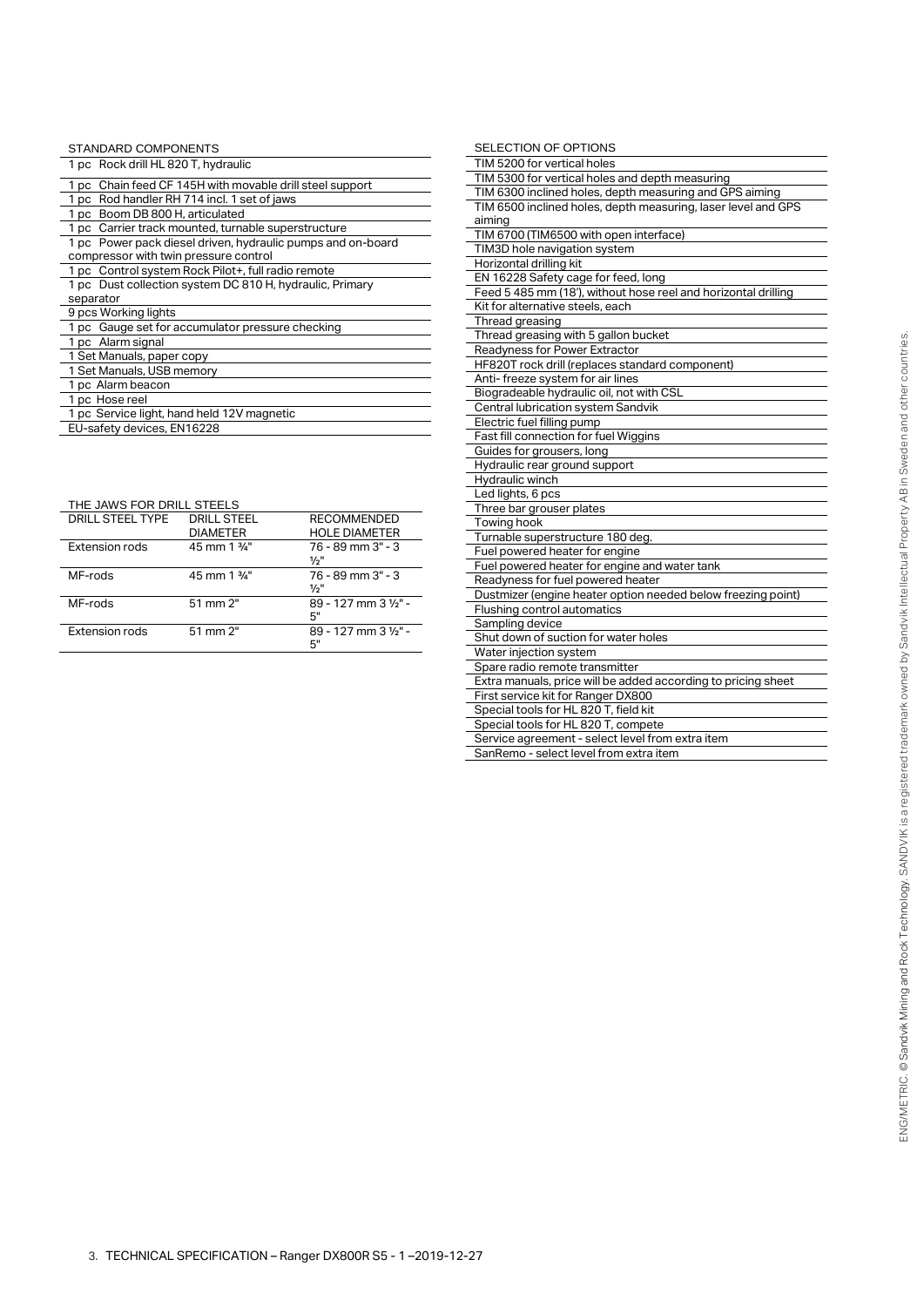| STANDARD COMPONENTS                                                                                  |
|------------------------------------------------------------------------------------------------------|
| 1 pc Rock drill HL 820 T, hydraulic                                                                  |
| 1 pc Chain feed CF 145H with movable drill steel support                                             |
| 1 pc Rod handler RH 714 incl. 1 set of jaws                                                          |
| 1 pc Boom DB 800 H, articulated                                                                      |
| 1 pc Carrier track mounted, turnable superstructure                                                  |
| 1 pc Power pack diesel driven, hydraulic pumps and on-board<br>compressor with twin pressure control |
| 1 pc Control system Rock Pilot+, full radio remote                                                   |
| 1 pc Dust collection system DC 810 H, hydraulic, Primary<br>separator                                |
| 9 pcs Working lights                                                                                 |
| 1 pc Gauge set for accumulator pressure checking                                                     |
| 1 pc Alarm signal                                                                                    |
| 1 Set Manuals, paper copy                                                                            |
| 1 Set Manuals, USB memory                                                                            |
| 1 pc Alarm beacon                                                                                    |
| 1 pc Hose reel                                                                                       |
| 1 pc Service light, hand held 12V magnetic                                                           |
| EU-safety devices, EN16228                                                                           |

THE JAWS FOR DRILL STEELS

| <b>DRILL STEEL TYPE</b> | <b>DRILL STEEL</b><br><b>DIAMETER</b> | <b>RECOMMENDED</b><br><b>HOLE DIAMETER</b> |
|-------------------------|---------------------------------------|--------------------------------------------|
| <b>Extension rods</b>   | 45 mm 1 %"                            | $76 - 89$ mm $3" - 3$<br>$\frac{1}{2}$ "   |
| MF-rods                 | 45 mm 1 3/4"                          | $76 - 89$ mm $3" - 3$<br>$\frac{1}{2}$ "   |
| MF-rods                 | 51 mm 2"                              | 89 - 127 mm 3 1/2" -<br>5"                 |
| Extension rods          | 51 mm 2"                              | 89 - 127 mm 3 1/2" -<br>5"                 |

| <b>SELECTION OF OPTIONS</b>                                    |
|----------------------------------------------------------------|
| TIM 5200 for vertical holes                                    |
| TIM 5300 for vertical holes and depth measuring                |
| TIM 6300 inclined holes, depth measuring and GPS aiming        |
| TIM 6500 inclined holes, depth measuring, laser level and GPS  |
| aiming                                                         |
| TIM 6700 (TIM6500 with open interface)                         |
| TIM3D hole navigation system                                   |
| Horizontal drilling kit                                        |
| EN 16228 Safety cage for feed, long                            |
| Feed 5 485 mm (18'), without hose reel and horizontal drilling |
| Kit for alternative steels, each                               |
| Thread greasing                                                |
| Thread greasing with 5 gallon bucket                           |
| Readyness for Power Extractor                                  |
| HF820T rock drill (replaces standard component)                |
| Anti- freeze system for air lines                              |
| Biogradeable hydraulic oil, not with CSL                       |
| Central lubrication system Sandvik                             |
| Electric fuel filling pump                                     |
| Fast fill connection for fuel Wiggins                          |
| Guides for grousers, long                                      |
| Hydraulic rear ground support                                  |
| Hydraulic winch                                                |
| Led lights, 6 pcs                                              |
| Three bar grouser plates                                       |
| Towing hook                                                    |
| Turnable superstructure 180 deg.                               |
| Fuel powered heater for engine                                 |
| Fuel powered heater for engine and water tank                  |
| Readyness for fuel powered heater                              |
| Dustmizer (engine heater option needed below freezing point)   |
| Flushing control automatics                                    |
| Sampling device                                                |
| Shut down of suction for water holes                           |
| Water injection system                                         |
| Spare radio remote transmitter                                 |
| Extra manuals, price will be added according to pricing sheet  |
| First service kit for Ranger DX800                             |
| Special tools for HL 820 T, field kit                          |
| Special tools for HL 820 T, compete                            |
| Service agreement - select level from extra item               |
| SanRemo - select level from extra item                         |